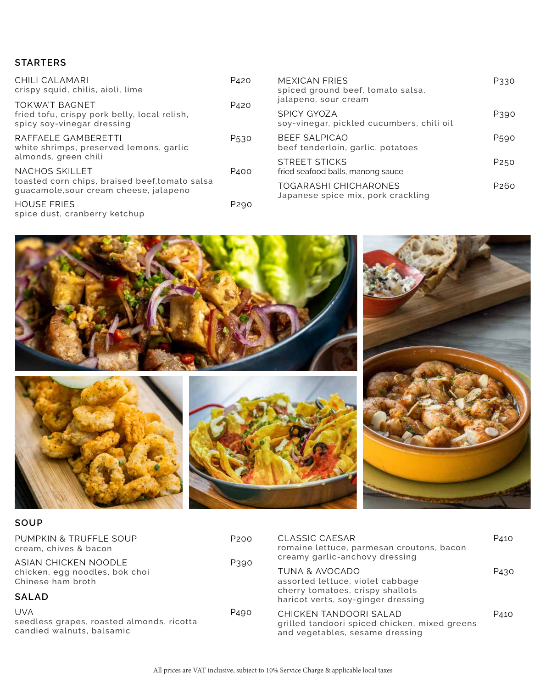### **STARTERS**

| CHILI CALAMARI<br>crispy squid, chilis, aioli, lime                                                 | P <sub>420</sub> | <b>MEXICAN FRIES</b><br>spiced ground beef, tomato salsa,                               | P330             |
|-----------------------------------------------------------------------------------------------------|------------------|-----------------------------------------------------------------------------------------|------------------|
| <b>TOKWA'T BAGNET</b><br>fried tofu, crispy pork belly, local relish,<br>spicy soy-vinegar dressing | P420             | jalapeno, sour cream<br><b>SPICY GYOZA</b><br>soy-vinegar, pickled cucumbers, chili oil | P390             |
| RAFFAELE GAMBERETTI<br>white shrimps, preserved lemons, garlic                                      | P <sub>530</sub> | <b>BEEF SALPICAO</b><br>beef tenderloin, garlic, potatoes                               | P <sub>590</sub> |
| almonds, green chili<br><b>NACHOS SKILLET</b>                                                       | P <sub>400</sub> | <b>STREET STICKS</b><br>fried seafood balls, manong sauce                               | P <sub>250</sub> |
| toasted corn chips, braised beef, tomato salsa<br>guacamole, sour cream cheese, jalapeno            |                  | <b>TOGARASHI CHICHARONES</b><br>Japanese spice mix, pork crackling                      | P <sub>260</sub> |
| <b>HOUSE FRIES</b><br>spice dust, cranberry ketchup                                                 | P <sub>290</sub> |                                                                                         |                  |



#### **SOUP**

| PUMPKIN & TRUFFLE SOUP<br>cream, chives & bacon<br>ASIAN CHICKEN NOODLE              | P <sub>200</sub><br>P390 | <b>CLASSIC CAESAR</b><br>romaine lettuce, parmesan croutons, bacon<br>creamy garlic-anchovy dressing       | P410             |
|--------------------------------------------------------------------------------------|--------------------------|------------------------------------------------------------------------------------------------------------|------------------|
| chicken, egg noodles, bok choi<br>Chinese ham broth                                  |                          | <b>TUNA &amp; AVOCADO</b><br>assorted lettuce, violet cabbage<br>cherry tomatoes, crispy shallots          | P <sub>430</sub> |
| <b>SALAD</b>                                                                         |                          | haricot verts, soy-ginger dressing                                                                         |                  |
| <b>UVA</b><br>seedless grapes, roasted almonds, ricotta<br>candied walnuts, balsamic | P490                     | CHICKEN TANDOORI SALAD<br>grilled tandoori spiced chicken, mixed greens<br>and vegetables, sesame dressing | P410             |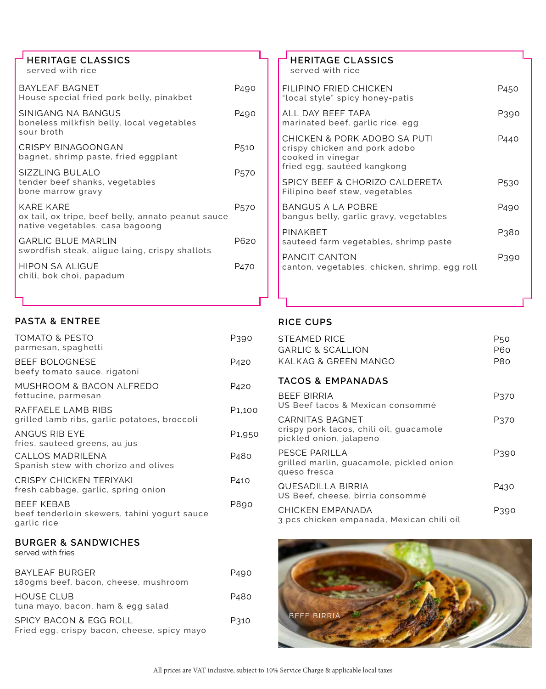| $\overline{\phantom{a}}$ HERITAGE CLASSICS |  |
|--------------------------------------------|--|
| served with rice                           |  |

| BAYLEAF BAGNET<br>House special fried pork belly, pinakbet                                                | P490             |
|-----------------------------------------------------------------------------------------------------------|------------------|
| SINIGANG NA BANGUS<br>boneless milkfish belly, local vegetables<br>sour broth                             | P <sub>490</sub> |
| <b>CRISPY BINAGOONGAN</b><br>bagnet, shrimp paste, fried eggplant                                         | P510             |
| SIZZLING BULALO<br>tender beef shanks, vegetables<br>bone marrow gravy                                    | P570             |
| <b>KARE KARE</b><br>ox tail, ox tripe, beef belly, annato peanut sauce<br>native vegetables, casa bagoong | P570             |
| <b>GARLIC BLUE MARLIN</b><br>swordfish steak, aligue laing, crispy shallots                               | P620             |
| <b>HIPON SA ALIGUE</b><br>chili, bok choi, papadum                                                        | P470             |
|                                                                                                           |                  |

#### **PASTA & ENTREE**

| <b>TOMATO &amp; PESTO</b><br>parmesan, spaghetti                                 | P390                |
|----------------------------------------------------------------------------------|---------------------|
| <b>BEEF BOLOGNESE</b><br>beefy tomato sauce, rigatoni                            | P420                |
| MUSHROOM & BACON ALFREDO<br>fettucine, parmesan                                  | P420                |
| RAFFAELE LAMB RIBS<br>grilled lamb ribs, garlic potatoes, broccoli               | P <sub>1</sub> ,100 |
| <b>ANGUS RIB EYE</b><br>fries, sauteed greens, au jus                            | P <sub>1</sub> ,950 |
| CALLOS MADRILENA<br>Spanish stew with chorizo and olives                         | P <sub>4</sub> 80   |
| <b>CRISPY CHICKEN TERIYAKI</b><br>fresh cabbage, garlic, spring onion            | P410                |
| <b>BEEF KEBAB</b><br>beef tenderloin skewers, tahini yogurt sauce<br>garlic rice | P890                |
| <b>BURGER &amp; SANDWICHES</b><br>served with fries                              |                     |
| <b>BAYLEAF BURGER</b><br>180gms beef, bacon, cheese, mushroom                    | P490                |
| <b>HOUSE CLUB</b><br>tuna mayo, bacon, ham & egg salad                           | P480                |
| SPICY BACON & EGG ROLL<br>Fried egg, crispy bacon, cheese, spicy mayo            | P310                |
|                                                                                  |                     |

#### **HERITAGE CLASSICS** served with rice FILIPINO FRIED CHICKEN P450 "local style" spicy honey-patis ALL DAY BEEF TAPA P390 marinated beef, garlic rice, egg CHICKEN & PORK ADOBO SA PUTI P440 crispy chicken and pork adobo cooked in vinegar fried egg, sautéed kangkong SPICY BEEF & CHORIZO CALDERETA P530 Filipino beef stew, vegetables BANGUS A LA POBRE P490 bangus belly, garlic gravy, vegetables PINAKBET PINAKBET sauteed farm vegetables, shrimp paste PANCIT CANTON P390 canton, vegetables, chicken, shrimp, egg roll

#### **RICE CUPS**

| <b>STEAMED RICE</b><br><b>GARLIC &amp; SCALLION</b><br>KALKAG & GREEN MANGO                  | P50<br><b>P60</b><br>P80 |
|----------------------------------------------------------------------------------------------|--------------------------|
| <b>TACOS &amp; EMPANADAS</b>                                                                 |                          |
| <b>BEEF BIRRIA</b><br>US Beef tacos & Mexican consommé                                       | P370                     |
| <b>CARNITAS BAGNET</b><br>crispy pork tacos, chili oil, guacamole<br>pickled onion, jalapeno | P370                     |
| PESCE PARILLA<br>grilled marlin, guacamole, pickled onion<br>queso fresca                    | P390                     |
| QUESADILLA BIRRIA<br>US Beef, cheese, birria consommé                                        | P430                     |
| CHICKEN EMPANADA<br>3 pcs chicken empanada, Mexican chili oil                                | P390                     |

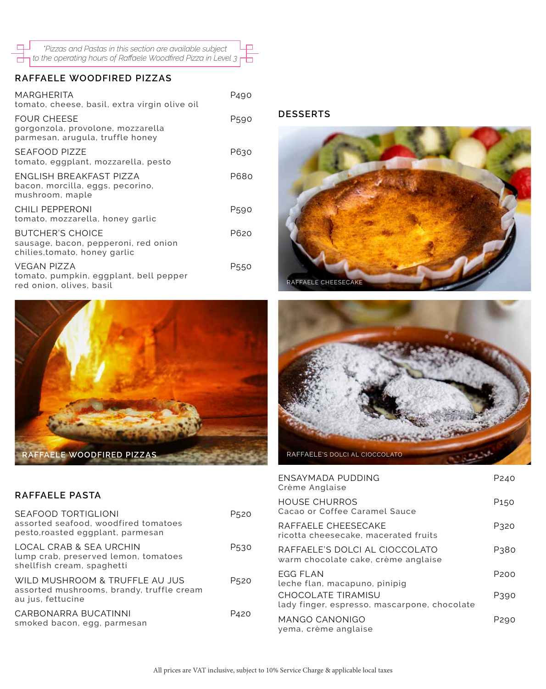| *Pizzas and Pastas in this section are available subject                                    | <u>Line</u> |
|---------------------------------------------------------------------------------------------|-------------|
| $\overline{1}$ to the operating hours of Raffaele Woodfired Pizza in Level 3 $\overline{1}$ |             |

### **RAFFAELE WOODFIRED PIZZAS**

 $\Box$ 

| MARGHERITA<br>tomato, cheese, basil, extra virgin olive oil                                      | P490 |
|--------------------------------------------------------------------------------------------------|------|
| <b>FOUR CHEESE</b><br>gorgonzola, provolone, mozzarella<br>parmesan, arugula, truffle honey      | P590 |
| <b>SEAFOOD PIZZE</b><br>tomato, eggplant, mozzarella, pesto                                      | P630 |
| ENGLISH BREAKFAST PIZZA<br>bacon, morcilla, eggs, pecorino,<br>mushroom, maple                   | P680 |
| <b>CHILI PEPPERONI</b><br>tomato, mozzarella, honey garlic                                       | P590 |
| <b>BUTCHER'S CHOICE</b><br>sausage, bacon, pepperoni, red onion<br>chilies, tomato, honey garlic | P620 |
| <b>VEGAN PIZZA</b><br>tomato, pumpkin, eggplant, bell pepper<br>red onion, olives, basil         | P550 |









| ENSAYMADA PUDDING<br>Crème Anglaise                                       | P <sub>240</sub> |
|---------------------------------------------------------------------------|------------------|
| <b>HOUSE CHURROS</b><br>Cacao or Coffee Caramel Sauce                     | P <sub>150</sub> |
| RAFFAELE CHEESECAKE<br>ricotta cheesecake, macerated fruits               | P320             |
| RAFFAELE'S DOLCI AL CIOCCOLATO<br>warm chocolate cake, crème anglaise     | P380             |
| <b>EGG FLAN</b><br>leche flan, macapuno, pinipig                          | P <sub>200</sub> |
| <b>CHOCOLATE TIRAMISU</b><br>lady finger, espresso, mascarpone, chocolate | P390             |
| <b>MANGO CANONIGO</b><br>yema, crème anglaise                             | P290             |

#### **RAFFAELE PASTA**

| SEAFOOD TORTIGLIONI<br>assorted seafood, woodfired tomatoes<br>pesto, roasted eggplant, parmesan | P520 |
|--------------------------------------------------------------------------------------------------|------|
| LOCAL CRAB & SEA URCHIN<br>lump crab, preserved lemon, tomatoes<br>shellfish cream, spaghetti    | P530 |
| WILD MUSHROOM & TRUFFLE AU JUS<br>assorted mushrooms, brandy, truffle cream<br>au jus, fettucine | P520 |
| CARBONARRA BUCATINNI<br>smoked bacon, egg, parmesan                                              | P420 |